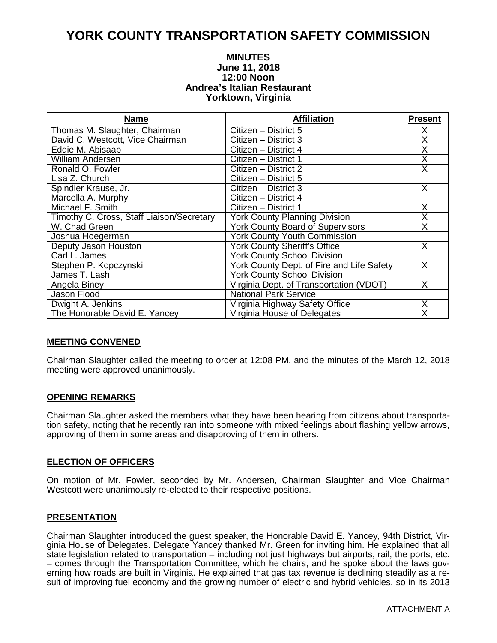# **YORK COUNTY TRANSPORTATION SAFETY COMMISSION**

#### **MINUTES June 11, 2018 12:00 Noon Andrea's Italian Restaurant Yorktown, Virginia**

| Name                                      | <b>Affiliation</b>                        | <b>Present</b>          |
|-------------------------------------------|-------------------------------------------|-------------------------|
| Thomas M. Slaughter, Chairman             | Citizen - District 5                      | Х                       |
| David C. Westcott, Vice Chairman          | Citizen - District 3                      | $\overline{\mathsf{X}}$ |
| Eddie M. Abisaab                          | Citizen - District 4                      | $\overline{\mathsf{X}}$ |
| William Andersen                          | Citizen - District 1                      | $\overline{\sf X}$      |
| Ronald O. Fowler                          | Citizen - District 2                      | $\overline{\mathsf{X}}$ |
| Lisa Z. Church                            | Citizen - District 5                      |                         |
| Spindler Krause, Jr.                      | Citizen - District 3                      | $\overline{\mathsf{X}}$ |
| Marcella A. Murphy                        | Citizen - District 4                      |                         |
| Michael F. Smith                          | Citizen - District 1                      | $\overline{\mathsf{X}}$ |
| Timothy C. Cross, Staff Liaison/Secretary | <b>York County Planning Division</b>      | $\overline{\mathsf{X}}$ |
| W. Chad Green                             | <b>York County Board of Supervisors</b>   | $\overline{\sf X}$      |
| Joshua Hoegerman                          | <b>York County Youth Commission</b>       |                         |
| Deputy Jason Houston                      | <b>York County Sheriff's Office</b>       | $\overline{\mathsf{x}}$ |
| Carl L. James                             | <b>York County School Division</b>        |                         |
| Stephen P. Kopczynski                     | York County Dept. of Fire and Life Safety | $\overline{\sf X}$      |
| James T. Lash                             | <b>York County School Division</b>        |                         |
| Angela Biney                              | Virginia Dept. of Transportation (VDOT)   | $\overline{\mathsf{X}}$ |
| Jason Flood                               | <b>National Park Service</b>              |                         |
| Dwight A. Jenkins                         | Virginia Highway Safety Office            | X                       |
| The Honorable David E. Yancey             | Virginia House of Delegates               | $\overline{\mathsf{X}}$ |

#### **MEETING CONVENED**

Chairman Slaughter called the meeting to order at 12:08 PM, and the minutes of the March 12, 2018 meeting were approved unanimously.

#### **OPENING REMARKS**

Chairman Slaughter asked the members what they have been hearing from citizens about transportation safety, noting that he recently ran into someone with mixed feelings about flashing yellow arrows, approving of them in some areas and disapproving of them in others.

#### **ELECTION OF OFFICERS**

On motion of Mr. Fowler, seconded by Mr. Andersen, Chairman Slaughter and Vice Chairman Westcott were unanimously re-elected to their respective positions.

#### **PRESENTATION**

Chairman Slaughter introduced the guest speaker, the Honorable David E. Yancey, 94th District, Virginia House of Delegates. Delegate Yancey thanked Mr. Green for inviting him. He explained that all state legislation related to transportation – including not just highways but airports, rail, the ports, etc. – comes through the Transportation Committee, which he chairs, and he spoke about the laws governing how roads are built in Virginia. He explained that gas tax revenue is declining steadily as a result of improving fuel economy and the growing number of electric and hybrid vehicles, so in its 2013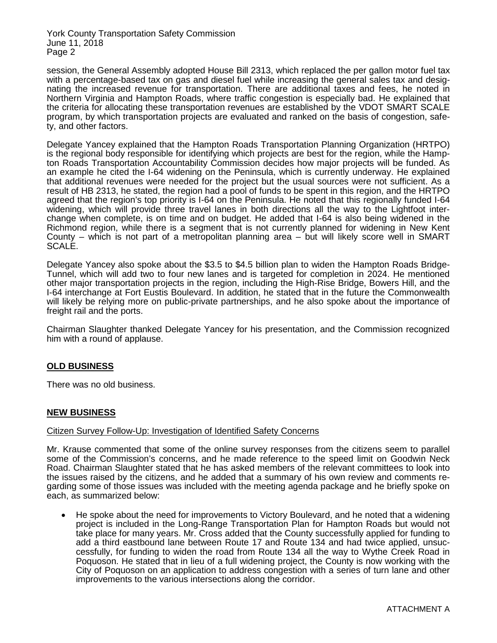York County Transportation Safety Commission June 11, 2018 Page 2

session, the General Assembly adopted House Bill 2313, which replaced the per gallon motor fuel tax with a percentage-based tax on gas and diesel fuel while increasing the general sales tax and designating the increased revenue for transportation. There are additional taxes and fees, he noted in Northern Virginia and Hampton Roads, where traffic congestion is especially bad. He explained that the criteria for allocating these transportation revenues are established by the VDOT SMART SCALE program, by which transportation projects are evaluated and ranked on the basis of congestion, safety, and other factors.

Delegate Yancey explained that the Hampton Roads Transportation Planning Organization (HRTPO) is the regional body responsible for identifying which projects are best for the region, while the Hampton Roads Transportation Accountability Commission decides how major projects will be funded. As an example he cited the I-64 widening on the Peninsula, which is currently underway. He explained that additional revenues were needed for the project but the usual sources were not sufficient. As a result of HB 2313, he stated, the region had a pool of funds to be spent in this region, and the HRTPO agreed that the region's top priority is I-64 on the Peninsula. He noted that this regionally funded I-64 widening, which will provide three travel lanes in both directions all the way to the Lightfoot interchange when complete, is on time and on budget. He added that I-64 is also being widened in the Richmond region, while there is a segment that is not currently planned for widening in New Kent County – which is not part of a metropolitan planning area – but will likely score well in SMART SCALE.

Delegate Yancey also spoke about the \$3.5 to \$4.5 billion plan to widen the Hampton Roads Bridge-Tunnel, which will add two to four new lanes and is targeted for completion in 2024. He mentioned other major transportation projects in the region, including the High-Rise Bridge, Bowers Hill, and the I-64 interchange at Fort Eustis Boulevard. In addition, he stated that in the future the Commonwealth will likely be relying more on public-private partnerships, and he also spoke about the importance of freight rail and the ports.

Chairman Slaughter thanked Delegate Yancey for his presentation, and the Commission recognized him with a round of applause.

# **OLD BUSINESS**

There was no old business.

#### **NEW BUSINESS**

#### Citizen Survey Follow-Up: Investigation of Identified Safety Concerns

Mr. Krause commented that some of the online survey responses from the citizens seem to parallel some of the Commission's concerns, and he made reference to the speed limit on Goodwin Neck Road. Chairman Slaughter stated that he has asked members of the relevant committees to look into the issues raised by the citizens, and he added that a summary of his own review and comments regarding some of those issues was included with the meeting agenda package and he briefly spoke on each, as summarized below:

• He spoke about the need for improvements to Victory Boulevard, and he noted that a widening project is included in the Long-Range Transportation Plan for Hampton Roads but would not take place for many years. Mr. Cross added that the County successfully applied for funding to add a third eastbound lane between Route 17 and Route 134 and had twice applied, unsuccessfully, for funding to widen the road from Route 134 all the way to Wythe Creek Road in Poquoson. He stated that in lieu of a full widening project, the County is now working with the City of Poquoson on an application to address congestion with a series of turn lane and other improvements to the various intersections along the corridor.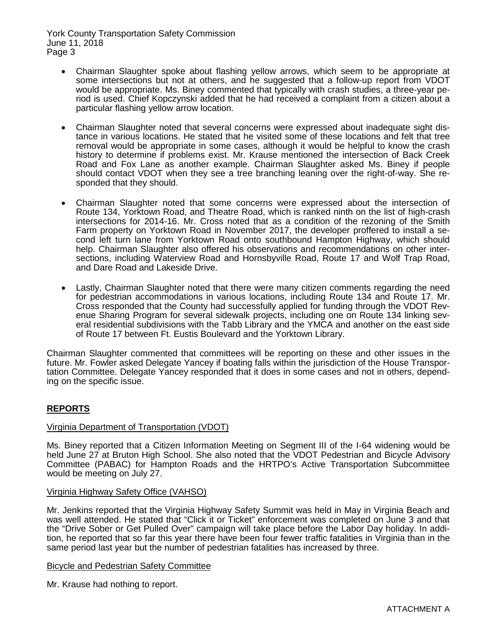York County Transportation Safety Commission June 11, 2018 Page 3

- Chairman Slaughter spoke about flashing yellow arrows, which seem to be appropriate at some intersections but not at others, and he suggested that a follow-up report from VDOT would be appropriate. Ms. Biney commented that typically with crash studies, a three-year period is used. Chief Kopczynski added that he had received a complaint from a citizen about a particular flashing yellow arrow location.
- Chairman Slaughter noted that several concerns were expressed about inadequate sight distance in various locations. He stated that he visited some of these locations and felt that tree removal would be appropriate in some cases, although it would be helpful to know the crash history to determine if problems exist. Mr. Krause mentioned the intersection of Back Creek Road and Fox Lane as another example. Chairman Slaughter asked Ms. Biney if people should contact VDOT when they see a tree branching leaning over the right-of-way. She responded that they should.
- Chairman Slaughter noted that some concerns were expressed about the intersection of Route 134, Yorktown Road, and Theatre Road, which is ranked ninth on the list of high-crash intersections for 2014-16. Mr. Cross noted that as a condition of the rezoning of the Smith Farm property on Yorktown Road in November 2017, the developer proffered to install a second left turn lane from Yorktown Road onto southbound Hampton Highway, which should help. Chairman Slaughter also offered his observations and recommendations on other intersections, including Waterview Road and Hornsbyville Road, Route 17 and Wolf Trap Road, and Dare Road and Lakeside Drive.
- Lastly, Chairman Slaughter noted that there were many citizen comments regarding the need for pedestrian accommodations in various locations, including Route 134 and Route 17. Mr. Cross responded that the County had successfully applied for funding through the VDOT Revenue Sharing Program for several sidewalk projects, including one on Route 134 linking several residential subdivisions with the Tabb Library and the YMCA and another on the east side of Route 17 between Ft. Eustis Boulevard and the Yorktown Library.

Chairman Slaughter commented that committees will be reporting on these and other issues in the future. Mr. Fowler asked Delegate Yancey if boating falls within the jurisdiction of the House Transportation Committee. Delegate Yancey responded that it does in some cases and not in others, depending on the specific issue.

# **REPORTS**

#### Virginia Department of Transportation (VDOT)

Ms. Biney reported that a Citizen Information Meeting on Segment III of the I-64 widening would be held June 27 at Bruton High School. She also noted that the VDOT Pedestrian and Bicycle Advisory Committee (PABAC) for Hampton Roads and the HRTPO's Active Transportation Subcommittee would be meeting on July 27.

#### Virginia Highway Safety Office (VAHSO)

Mr. Jenkins reported that the Virginia Highway Safety Summit was held in May in Virginia Beach and was well attended. He stated that "Click it or Ticket" enforcement was completed on June 3 and that the "Drive Sober or Get Pulled Over" campaign will take place before the Labor Day holiday. In addition, he reported that so far this year there have been four fewer traffic fatalities in Virginia than in the same period last year but the number of pedestrian fatalities has increased by three.

#### Bicycle and Pedestrian Safety Committee

Mr. Krause had nothing to report.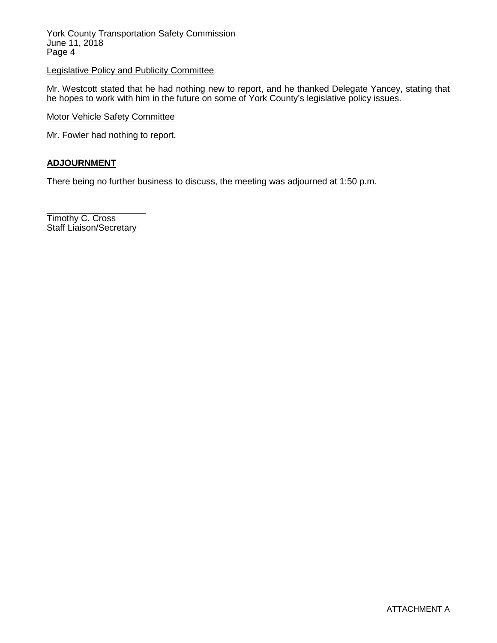York County Transportation Safety Commission June 11, 2018 Page 4

Legislative Policy and Publicity Committee

Mr. Westcott stated that he had nothing new to report, and he thanked Delegate Yancey, stating that he hopes to work with him in the future on some of York County's legislative policy issues.

Motor Vehicle Safety Committee

Mr. Fowler had nothing to report.

### **ADJOURNMENT**

There being no further business to discuss, the meeting was adjourned at 1:50 p.m.

\_\_\_\_\_\_\_\_\_\_\_\_\_\_\_\_\_\_\_\_ Timothy C. Cross Staff Liaison/Secretary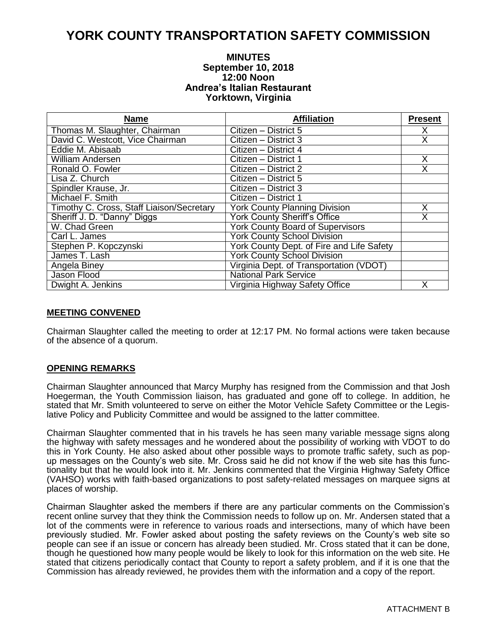# **YORK COUNTY TRANSPORTATION SAFETY COMMISSION**

#### **MINUTES September 10, 2018 12:00 Noon Andrea's Italian Restaurant Yorktown, Virginia**

| <b>Name</b>                               | <b>Affiliation</b>                        | <b>Present</b> |
|-------------------------------------------|-------------------------------------------|----------------|
| Thomas M. Slaughter, Chairman             | Citizen - District 5                      |                |
| David C. Westcott, Vice Chairman          | Citizen - District 3                      | X              |
| Eddie M. Abisaab                          | Citizen - District 4                      |                |
| <b>William Andersen</b>                   | Citizen - District 1                      | X              |
| Ronald O. Fowler                          | Citizen - District 2                      | Χ              |
| Lisa Z. Church                            | Citizen - District 5                      |                |
| Spindler Krause, Jr.                      | Citizen - District 3                      |                |
| Michael F. Smith                          | Citizen - District 1                      |                |
| Timothy C. Cross, Staff Liaison/Secretary | <b>York County Planning Division</b>      | Χ              |
| Sheriff J. D. "Danny" Diggs               | <b>York County Sheriff's Office</b>       | х              |
| W. Chad Green                             | <b>York County Board of Supervisors</b>   |                |
| Carl L. James                             | <b>York County School Division</b>        |                |
| Stephen P. Kopczynski                     | York County Dept. of Fire and Life Safety |                |
| James T. Lash                             | <b>York County School Division</b>        |                |
| Angela Biney                              | Virginia Dept. of Transportation (VDOT)   |                |
| Jason Flood                               | <b>National Park Service</b>              |                |
| Dwight A. Jenkins                         | Virginia Highway Safety Office            | x              |

#### **MEETING CONVENED**

Chairman Slaughter called the meeting to order at 12:17 PM. No formal actions were taken because of the absence of a quorum.

#### **OPENING REMARKS**

Chairman Slaughter announced that Marcy Murphy has resigned from the Commission and that Josh Hoegerman, the Youth Commission liaison, has graduated and gone off to college. In addition, he stated that Mr. Smith volunteered to serve on either the Motor Vehicle Safety Committee or the Legislative Policy and Publicity Committee and would be assigned to the latter committee.

Chairman Slaughter commented that in his travels he has seen many variable message signs along the highway with safety messages and he wondered about the possibility of working with VDOT to do this in York County. He also asked about other possible ways to promote traffic safety, such as popup messages on the County's web site. Mr. Cross said he did not know if the web site has this functionality but that he would look into it. Mr. Jenkins commented that the Virginia Highway Safety Office (VAHSO) works with faith-based organizations to post safety-related messages on marquee signs at places of worship.

Chairman Slaughter asked the members if there are any particular comments on the Commission's recent online survey that they think the Commission needs to follow up on. Mr. Andersen stated that a lot of the comments were in reference to various roads and intersections, many of which have been previously studied. Mr. Fowler asked about posting the safety reviews on the County's web site so people can see if an issue or concern has already been studied. Mr. Cross stated that it can be done, though he questioned how many people would be likely to look for this information on the web site. He stated that citizens periodically contact that County to report a safety problem, and if it is one that the Commission has already reviewed, he provides them with the information and a copy of the report.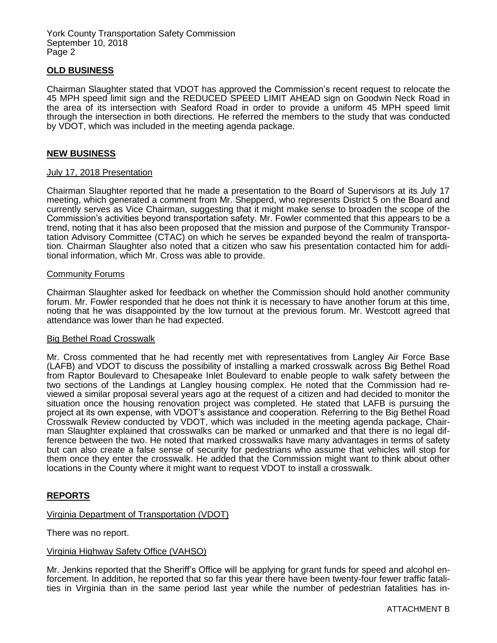York County Transportation Safety Commission September 10, 2018 Page 2

#### **OLD BUSINESS**

Chairman Slaughter stated that VDOT has approved the Commission's recent request to relocate the 45 MPH speed limit sign and the REDUCED SPEED LIMIT AHEAD sign on Goodwin Neck Road in the area of its intersection with Seaford Road in order to provide a uniform 45 MPH speed limit through the intersection in both directions. He referred the members to the study that was conducted by VDOT, which was included in the meeting agenda package.

#### **NEW BUSINESS**

#### July 17, 2018 Presentation

Chairman Slaughter reported that he made a presentation to the Board of Supervisors at its July 17 meeting, which generated a comment from Mr. Shepperd, who represents District 5 on the Board and currently serves as Vice Chairman, suggesting that it might make sense to broaden the scope of the Commission's activities beyond transportation safety. Mr. Fowler commented that this appears to be a trend, noting that it has also been proposed that the mission and purpose of the Community Transportation Advisory Committee (CTAC) on which he serves be expanded beyond the realm of transportation. Chairman Slaughter also noted that a citizen who saw his presentation contacted him for additional information, which Mr. Cross was able to provide.

#### Community Forums

Chairman Slaughter asked for feedback on whether the Commission should hold another community forum. Mr. Fowler responded that he does not think it is necessary to have another forum at this time, noting that he was disappointed by the low turnout at the previous forum. Mr. Westcott agreed that attendance was lower than he had expected.

#### Big Bethel Road Crosswalk

Mr. Cross commented that he had recently met with representatives from Langley Air Force Base (LAFB) and VDOT to discuss the possibility of installing a marked crosswalk across Big Bethel Road from Raptor Boulevard to Chesapeake Inlet Boulevard to enable people to walk safety between the two sections of the Landings at Langley housing complex. He noted that the Commission had reviewed a similar proposal several years ago at the request of a citizen and had decided to monitor the situation once the housing renovation project was completed. He stated that LAFB is pursuing the project at its own expense, with VDOT's assistance and cooperation. Referring to the Big Bethel Road Crosswalk Review conducted by VDOT, which was included in the meeting agenda package, Chairman Slaughter explained that crosswalks can be marked or unmarked and that there is no legal difference between the two. He noted that marked crosswalks have many advantages in terms of safety but can also create a false sense of security for pedestrians who assume that vehicles will stop for them once they enter the crosswalk. He added that the Commission might want to think about other locations in the County where it might want to request VDOT to install a crosswalk.

#### **REPORTS**

Virginia Department of Transportation (VDOT)

There was no report.

#### Virginia Highway Safety Office (VAHSO)

Mr. Jenkins reported that the Sheriff's Office will be applying for grant funds for speed and alcohol enforcement. In addition, he reported that so far this year there have been twenty-four fewer traffic fatalities in Virginia than in the same period last year while the number of pedestrian fatalities has in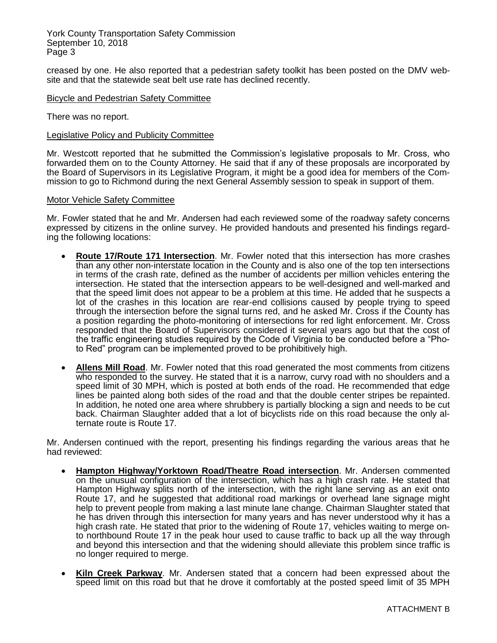York County Transportation Safety Commission September 10, 2018 Page 3

creased by one. He also reported that a pedestrian safety toolkit has been posted on the DMV website and that the statewide seat belt use rate has declined recently.

#### Bicycle and Pedestrian Safety Committee

There was no report.

#### **Legislative Policy and Publicity Committee**

Mr. Westcott reported that he submitted the Commission's legislative proposals to Mr. Cross, who forwarded them on to the County Attorney. He said that if any of these proposals are incorporated by the Board of Supervisors in its Legislative Program, it might be a good idea for members of the Commission to go to Richmond during the next General Assembly session to speak in support of them.

#### Motor Vehicle Safety Committee

Mr. Fowler stated that he and Mr. Andersen had each reviewed some of the roadway safety concerns expressed by citizens in the online survey. He provided handouts and presented his findings regarding the following locations:

- **Route 17/Route 171 Intersection**. Mr. Fowler noted that this intersection has more crashes than any other non-interstate location in the County and is also one of the top ten intersections in terms of the crash rate, defined as the number of accidents per million vehicles entering the intersection. He stated that the intersection appears to be well-designed and well-marked and that the speed limit does not appear to be a problem at this time. He added that he suspects a lot of the crashes in this location are rear-end collisions caused by people trying to speed through the intersection before the signal turns red, and he asked Mr. Cross if the County has a position regarding the photo-monitoring of intersections for red light enforcement. Mr. Cross responded that the Board of Supervisors considered it several years ago but that the cost of the traffic engineering studies required by the Code of Virginia to be conducted before a "Photo Red" program can be implemented proved to be prohibitively high.
- **Allens Mill Road**. Mr. Fowler noted that this road generated the most comments from citizens who responded to the survey. He stated that it is a narrow, curvy road with no shoulders and a speed limit of 30 MPH, which is posted at both ends of the road. He recommended that edge lines be painted along both sides of the road and that the double center stripes be repainted. In addition, he noted one area where shrubbery is partially blocking a sign and needs to be cut back. Chairman Slaughter added that a lot of bicyclists ride on this road because the only alternate route is Route 17.

Mr. Andersen continued with the report, presenting his findings regarding the various areas that he had reviewed:

- **Hampton Highway/Yorktown Road/Theatre Road intersection**. Mr. Andersen commented on the unusual configuration of the intersection, which has a high crash rate. He stated that Hampton Highway splits north of the intersection, with the right lane serving as an exit onto Route 17, and he suggested that additional road markings or overhead lane signage might help to prevent people from making a last minute lane change. Chairman Slaughter stated that he has driven through this intersection for many years and has never understood why it has a high crash rate. He stated that prior to the widening of Route 17, vehicles waiting to merge onto northbound Route 17 in the peak hour used to cause traffic to back up all the way through and beyond this intersection and that the widening should alleviate this problem since traffic is no longer required to merge.
- **Kiln Creek Parkway**. Mr. Andersen stated that a concern had been expressed about the speed limit on this road but that he drove it comfortably at the posted speed limit of 35 MPH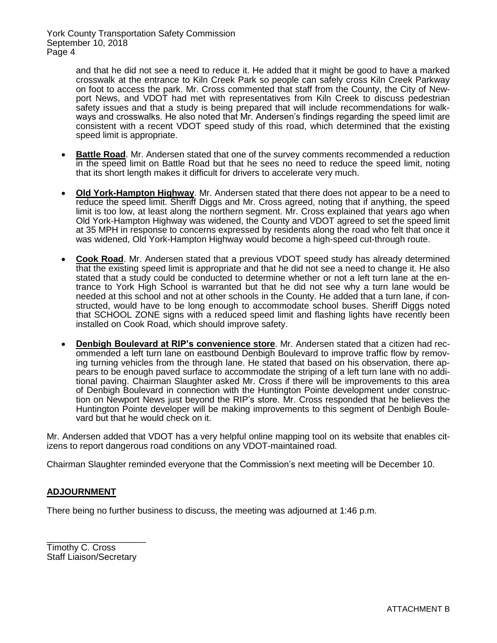York County Transportation Safety Commission September 10, 2018 Page 4

> and that he did not see a need to reduce it. He added that it might be good to have a marked crosswalk at the entrance to Kiln Creek Park so people can safely cross Kiln Creek Parkway on foot to access the park. Mr. Cross commented that staff from the County, the City of Newport News, and VDOT had met with representatives from Kiln Creek to discuss pedestrian safety issues and that a study is being prepared that will include recommendations for walkways and crosswalks. He also noted that Mr. Andersen's findings regarding the speed limit are consistent with a recent VDOT speed study of this road, which determined that the existing speed limit is appropriate.

- **Battle Road**. Mr. Andersen stated that one of the survey comments recommended a reduction in the speed limit on Battle Road but that he sees no need to reduce the speed limit, noting that its short length makes it difficult for drivers to accelerate very much.
- **Old York-Hampton Highway**. Mr. Andersen stated that there does not appear to be a need to reduce the speed limit. Sheriff Diggs and Mr. Cross agreed, noting that if anything, the speed limit is too low, at least along the northern segment. Mr. Cross explained that years ago when Old York-Hampton Highway was widened, the County and VDOT agreed to set the speed limit at 35 MPH in response to concerns expressed by residents along the road who felt that once it was widened, Old York-Hampton Highway would become a high-speed cut-through route.
- **Cook Road**. Mr. Andersen stated that a previous VDOT speed study has already determined that the existing speed limit is appropriate and that he did not see a need to change it. He also stated that a study could be conducted to determine whether or not a left turn lane at the entrance to York High School is warranted but that he did not see why a turn lane would be needed at this school and not at other schools in the County. He added that a turn lane, if constructed, would have to be long enough to accommodate school buses. Sheriff Diggs noted that SCHOOL ZONE signs with a reduced speed limit and flashing lights have recently been installed on Cook Road, which should improve safety.
- **Denbigh Boulevard at RIP's convenience store**. Mr. Andersen stated that a citizen had recommended a left turn lane on eastbound Denbigh Boulevard to improve traffic flow by removing turning vehicles from the through lane. He stated that based on his observation, there appears to be enough paved surface to accommodate the striping of a left turn lane with no additional paving. Chairman Slaughter asked Mr. Cross if there will be improvements to this area of Denbigh Boulevard in connection with the Huntington Pointe development under construction on Newport News just beyond the RIP's store. Mr. Cross responded that he believes the Huntington Pointe developer will be making improvements to this segment of Denbigh Boulevard but that he would check on it.

Mr. Andersen added that VDOT has a very helpful online mapping tool on its website that enables citizens to report dangerous road conditions on any VDOT-maintained road.

Chairman Slaughter reminded everyone that the Commission's next meeting will be December 10.

#### **ADJOURNMENT**

There being no further business to discuss, the meeting was adjourned at 1:46 p.m.

\_\_\_\_\_\_\_\_\_\_\_\_\_\_\_\_\_\_\_\_ Timothy C. Cross Staff Liaison/Secretary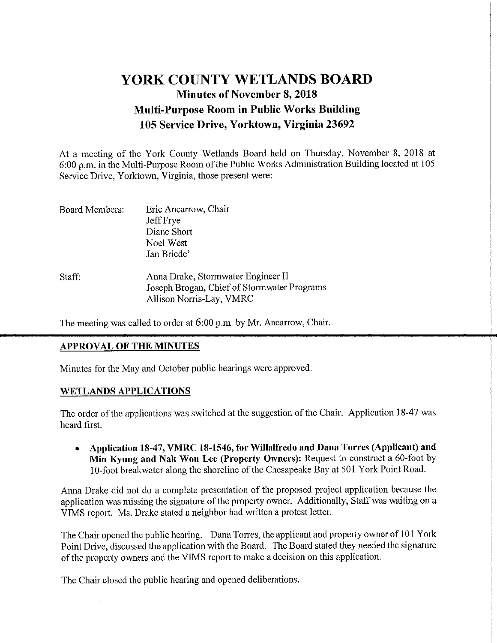# YORK COUNTY WETLANDS BOARD **Minutes of November 8, 2018 Multi-Purpose Room in Public Works Building** 105 Service Drive, Yorktown, Virginia 23692

At a meeting of the York County Wetlands Board held on Thursday, November 8, 2018 at 6:00 p.m. in the Multi-Purpose Room of the Public Works Administration Building located at 105 Service Drive. Yorktown. Virginia, those present were:

| <b>Board Members:</b> | Eric Ancarrow, Chair                                                                                          |  |
|-----------------------|---------------------------------------------------------------------------------------------------------------|--|
|                       | Jeff Frye                                                                                                     |  |
|                       | Diane Short                                                                                                   |  |
|                       | Noel West                                                                                                     |  |
|                       | Jan Briede'                                                                                                   |  |
| Staff:                | Anna Drake, Stormwater Engineer II<br>Joseph Brogan, Chief of Stormwater Programs<br>Allison Norris-Lay, VMRC |  |

The meeting was called to order at  $6:00$  p.m. by Mr. Ancarrow, Chair.

# **APPROVAL OF THE MINUTES**

Minutes for the May and October public hearings were approved.

# **WETLANDS APPLICATIONS**

The order of the applications was switched at the suggestion of the Chair. Application 18-47 was heard first.

Application 18-47, VMRC 18-1546, for Willalfredo and Dana Torres (Applicant) and  $\bullet$ Min Kyung and Nak Won Lee (Property Owners): Request to construct a 60-foot by 10-foot breakwater along the shoreline of the Chesapeake Bay at 501 York Point Road.

Anna Drake did not do a complete presentation of the proposed project application because the application was missing the signature of the property owner. Additionally, Staff was waiting on a VIMS report. Ms. Drake stated a neighbor had written a protest letter.

The Chair opened the public hearing. Dana Torres, the applicant and property owner of 101 York Point Drive, discussed the application with the Board. The Board stated they needed the signature of the property owners and the VIMS report to make a decision on this application.

The Chair closed the public hearing and opened deliberations.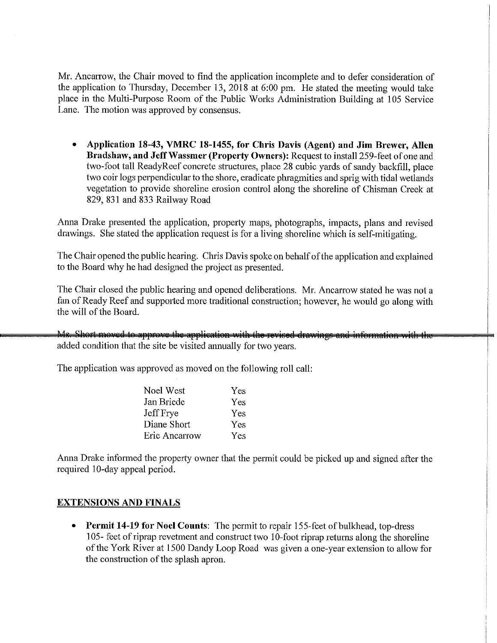Mr. Ancarrow, the Chair moved to find the application incomplete and to defer consideration of the application to Thursday, December 13, 2018 at 6:00 pm. He stated the meeting would take place in the Multi-Purpose Room of the Public Works Administration Building at 105 Service Lane. The motion was approved by consensus.

Application 18-43, VMRC 18-1455, for Chris Davis (Agent) and Jim Brewer, Allen Bradshaw, and Jeff Wassmer (Property Owners): Request to install 259-feet of one and two-foot tall ReadyReef concrete structures, place 28 cubic vards of sandy backfill, place two coir logs perpendicular to the shore, eradicate phragmities and sprig with tidal wetlands vegetation to provide shoreline erosion control along the shoreline of Chisman Creek at 829, 831 and 833 Railway Road

Anna Drake presented the application, property maps, photographs, impacts, plans and revised drawings. She stated the application request is for a living shoreline which is self-mitigating.

The Chair opened the public hearing. Chris Davis spoke on behalf of the application and explained to the Board why he had designed the project as presented.

The Chair closed the public hearing and opened deliberations. Mr. Ancarrow stated he was not a fan of Ready Reef and supported more traditional construction; however, he would go along with the will of the Board.

Ms. Short moved to approve the application with the revised drawings and information with the added condition that the site be visited annually for two years.

The application was approved as moved on the following roll call:

| Noel West     | Yes |
|---------------|-----|
| Jan Briede    | Yes |
| Jeff Frye     | Yes |
| Diane Short   | Yes |
| Eric Ancarrow | Yes |

Anna Drake informed the property owner that the permit could be picked up and signed after the required 10-day appeal period.

# **EXTENSIONS AND FINALS**

**Permit 14-19 for Noel Counts:** The permit to repair 155-feet of bulkhead, top-dress 105-feet of riprap revetment and construct two 10-foot riprap returns along the shoreline of the York River at 1500 Dandy Loop Road was given a one-year extension to allow for the construction of the splash apron.